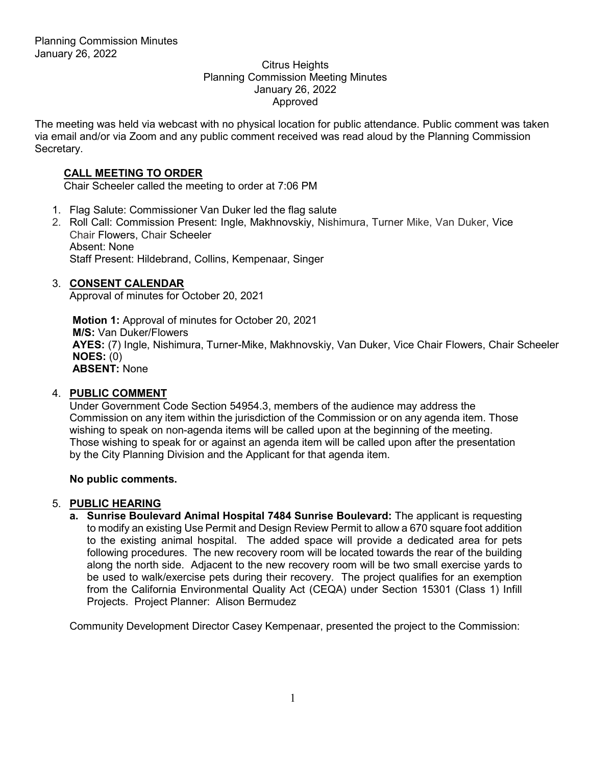#### Citrus Heights Planning Commission Meeting Minutes January 26, 2022 Approved

The meeting was held via webcast with no physical location for public attendance. Public comment was taken via email and/or via Zoom and any public comment received was read aloud by the Planning Commission Secretary.

# **CALL MEETING TO ORDER**

Chair Scheeler called the meeting to order at 7:06 PM

- 1. Flag Salute: Commissioner Van Duker led the flag salute
- 2. Roll Call: Commission Present: Ingle, Makhnovskiy, Nishimura, Turner Mike, Van Duker, Vice Chair Flowers, Chair Scheeler Absent: None Staff Present: Hildebrand, Collins, Kempenaar, Singer

## 3. **CONSENT CALENDAR**

Approval of minutes for October 20, 2021

**Motion 1:** Approval of minutes for October 20, 2021 **M/S:** Van Duker/Flowers **AYES:** (7) Ingle, Nishimura, Turner-Mike, Makhnovskiy, Van Duker, Vice Chair Flowers, Chair Scheeler **NOES:** (0) **ABSENT:** None

## 4. **PUBLIC COMMENT**

Under Government Code Section 54954.3, members of the audience may address the Commission on any item within the jurisdiction of the Commission or on any agenda item. Those wishing to speak on non-agenda items will be called upon at the beginning of the meeting. Those wishing to speak for or against an agenda item will be called upon after the presentation by the City Planning Division and the Applicant for that agenda item.

## **No public comments.**

## 5. **PUBLIC HEARING**

**a. Sunrise Boulevard Animal Hospital 7484 Sunrise Boulevard:** The applicant is requesting to modify an existing Use Permit and Design Review Permit to allow a 670 square foot addition to the existing animal hospital. The added space will provide a dedicated area for pets following procedures. The new recovery room will be located towards the rear of the building along the north side. Adjacent to the new recovery room will be two small exercise yards to be used to walk/exercise pets during their recovery. The project qualifies for an exemption from the California Environmental Quality Act (CEQA) under Section 15301 (Class 1) Infill Projects. Project Planner: Alison Bermudez

Community Development Director Casey Kempenaar, presented the project to the Commission: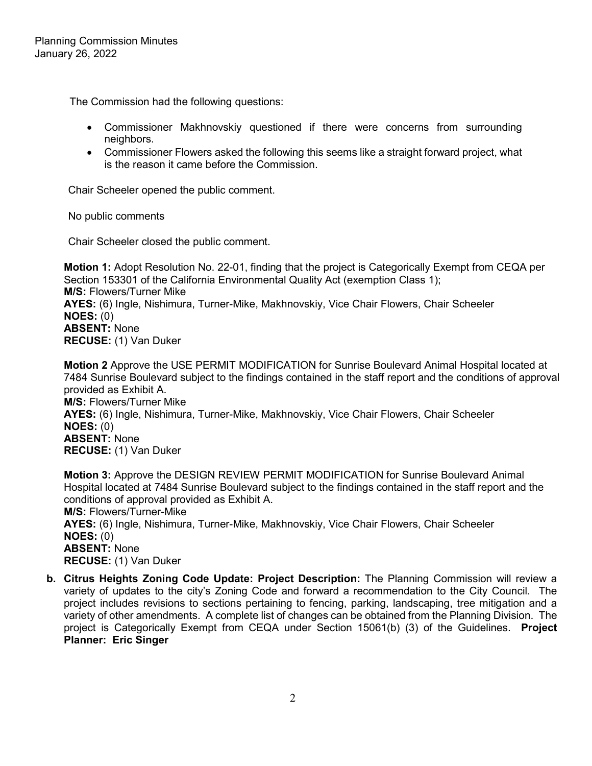The Commission had the following questions:

- Commissioner Makhnovskiy questioned if there were concerns from surrounding neighbors.
- Commissioner Flowers asked the following this seems like a straight forward project, what is the reason it came before the Commission.

Chair Scheeler opened the public comment.

No public comments

Chair Scheeler closed the public comment.

**Motion 1:** Adopt Resolution No. 22-01, finding that the project is Categorically Exempt from CEQA per Section 153301 of the California Environmental Quality Act (exemption Class 1); **M/S:** Flowers/Turner Mike **AYES:** (6) Ingle, Nishimura, Turner-Mike, Makhnovskiy, Vice Chair Flowers, Chair Scheeler **NOES:** (0) **ABSENT:** None **RECUSE:** (1) Van Duker

**Motion 2** Approve the USE PERMIT MODIFICATION for Sunrise Boulevard Animal Hospital located at 7484 Sunrise Boulevard subject to the findings contained in the staff report and the conditions of approval provided as Exhibit A. **M/S:** Flowers/Turner Mike

**AYES:** (6) Ingle, Nishimura, Turner-Mike, Makhnovskiy, Vice Chair Flowers, Chair Scheeler **NOES:** (0) **ABSENT:** None **RECUSE:** (1) Van Duker

**Motion 3:** Approve the DESIGN REVIEW PERMIT MODIFICATION for Sunrise Boulevard Animal Hospital located at 7484 Sunrise Boulevard subject to the findings contained in the staff report and the conditions of approval provided as Exhibit A. **M/S:** Flowers/Turner-Mike **AYES:** (6) Ingle, Nishimura, Turner-Mike, Makhnovskiy, Vice Chair Flowers, Chair Scheeler **NOES:** (0) **ABSENT:** None **RECUSE:** (1) Van Duker

**b. Citrus Heights Zoning Code Update: Project Description:** The Planning Commission will review a variety of updates to the city's Zoning Code and forward a recommendation to the City Council. The project includes revisions to sections pertaining to fencing, parking, landscaping, tree mitigation and a variety of other amendments. A complete list of changes can be obtained from the Planning Division. The project is Categorically Exempt from CEQA under Section 15061(b) (3) of the Guidelines. **Project Planner: Eric Singer**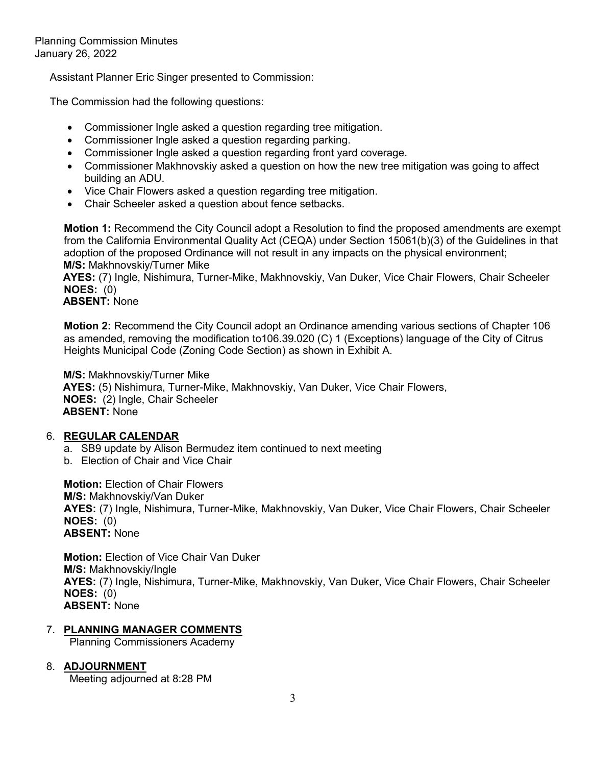Assistant Planner Eric Singer presented to Commission:

The Commission had the following questions:

- Commissioner Ingle asked a question regarding tree mitigation.
- Commissioner Ingle asked a question regarding parking.
- Commissioner Ingle asked a question regarding front yard coverage.
- Commissioner Makhnovskiy asked a question on how the new tree mitigation was going to affect building an ADU.
- Vice Chair Flowers asked a question regarding tree mitigation.
- Chair Scheeler asked a question about fence setbacks.

**Motion 1:** Recommend the City Council adopt a Resolution to find the proposed amendments are exempt from the California Environmental Quality Act (CEQA) under Section 15061(b)(3) of the Guidelines in that adoption of the proposed Ordinance will not result in any impacts on the physical environment; **M/S:** Makhnovskiy/Turner Mike

**AYES:** (7) Ingle, Nishimura, Turner-Mike, Makhnovskiy, Van Duker, Vice Chair Flowers, Chair Scheeler **NOES:** (0)

### **ABSENT:** None

**Motion 2:** Recommend the City Council adopt an Ordinance amending various sections of Chapter 106 as amended, removing the modification to106.39.020 (C) 1 (Exceptions) language of the City of Citrus Heights Municipal Code (Zoning Code Section) as shown in Exhibit A.

**M/S:** Makhnovskiy/Turner Mike **AYES:** (5) Nishimura, Turner-Mike, Makhnovskiy, Van Duker, Vice Chair Flowers, **NOES:** (2) Ingle, Chair Scheeler **ABSENT:** None

## 6. **REGULAR CALENDAR**

- a. SB9 update by Alison Bermudez item continued to next meeting
- b. Election of Chair and Vice Chair

**Motion:** Election of Chair Flowers **M/S:** Makhnovskiy/Van Duker **AYES:** (7) Ingle, Nishimura, Turner-Mike, Makhnovskiy, Van Duker, Vice Chair Flowers, Chair Scheeler **NOES:** (0) **ABSENT:** None

**Motion:** Election of Vice Chair Van Duker **M/S:** Makhnovskiy/Ingle **AYES:** (7) Ingle, Nishimura, Turner-Mike, Makhnovskiy, Van Duker, Vice Chair Flowers, Chair Scheeler **NOES:** (0) **ABSENT:** None

## 7. **PLANNING MANAGER COMMENTS**

Planning Commissioners Academy

### 8. **ADJOURNMENT**

Meeting adjourned at 8:28 PM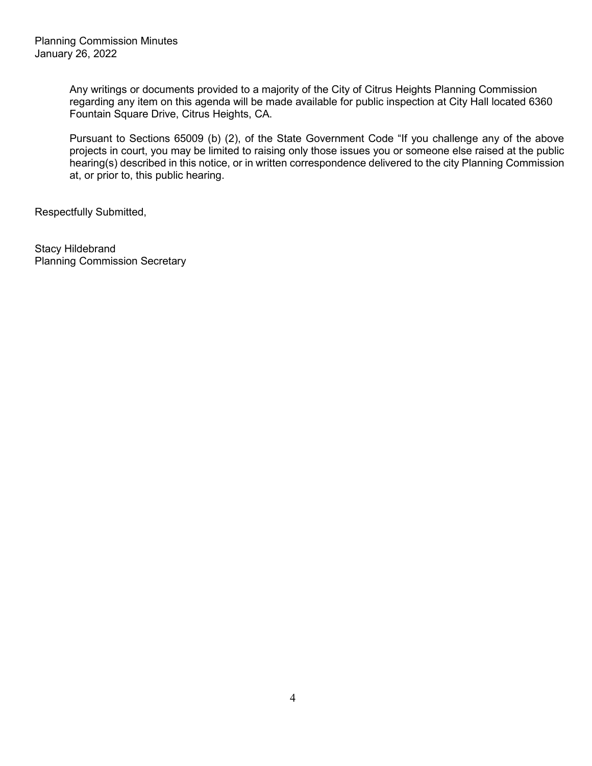Any writings or documents provided to a majority of the City of Citrus Heights Planning Commission regarding any item on this agenda will be made available for public inspection at City Hall located 6360 Fountain Square Drive, Citrus Heights, CA.

Pursuant to Sections 65009 (b) (2), of the State Government Code "If you challenge any of the above projects in court, you may be limited to raising only those issues you or someone else raised at the public hearing(s) described in this notice, or in written correspondence delivered to the city Planning Commission at, or prior to, this public hearing.

Respectfully Submitted,

Stacy Hildebrand Planning Commission Secretary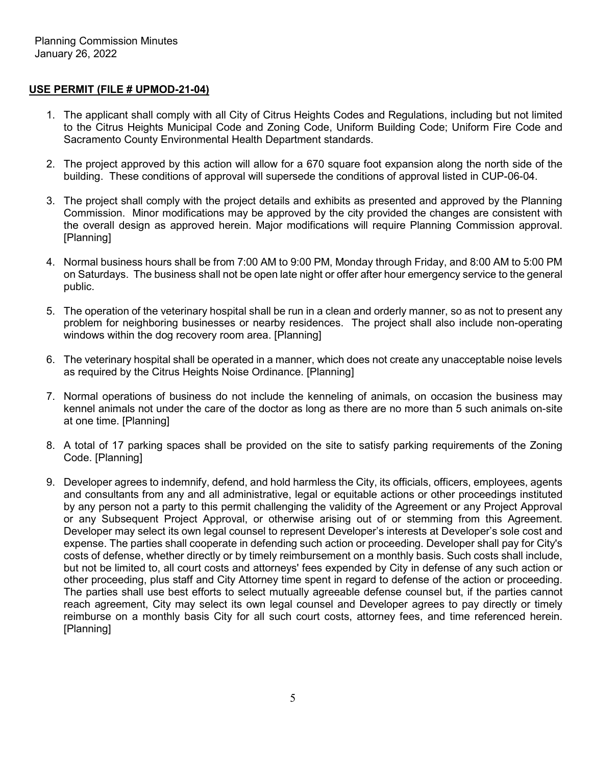### **USE PERMIT (FILE # UPMOD-21-04)**

- 1. The applicant shall comply with all City of Citrus Heights Codes and Regulations, including but not limited to the Citrus Heights Municipal Code and Zoning Code, Uniform Building Code; Uniform Fire Code and Sacramento County Environmental Health Department standards.
- 2. The project approved by this action will allow for a 670 square foot expansion along the north side of the building. These conditions of approval will supersede the conditions of approval listed in CUP-06-04.
- 3. The project shall comply with the project details and exhibits as presented and approved by the Planning Commission. Minor modifications may be approved by the city provided the changes are consistent with the overall design as approved herein. Major modifications will require Planning Commission approval. [Planning]
- 4. Normal business hours shall be from 7:00 AM to 9:00 PM, Monday through Friday, and 8:00 AM to 5:00 PM on Saturdays. The business shall not be open late night or offer after hour emergency service to the general public.
- 5. The operation of the veterinary hospital shall be run in a clean and orderly manner, so as not to present any problem for neighboring businesses or nearby residences. The project shall also include non-operating windows within the dog recovery room area. [Planning]
- 6. The veterinary hospital shall be operated in a manner, which does not create any unacceptable noise levels as required by the Citrus Heights Noise Ordinance. [Planning]
- 7. Normal operations of business do not include the kenneling of animals, on occasion the business may kennel animals not under the care of the doctor as long as there are no more than 5 such animals on-site at one time. [Planning]
- 8. A total of 17 parking spaces shall be provided on the site to satisfy parking requirements of the Zoning Code. [Planning]
- 9. Developer agrees to indemnify, defend, and hold harmless the City, its officials, officers, employees, agents and consultants from any and all administrative, legal or equitable actions or other proceedings instituted by any person not a party to this permit challenging the validity of the Agreement or any Project Approval or any Subsequent Project Approval, or otherwise arising out of or stemming from this Agreement. Developer may select its own legal counsel to represent Developer's interests at Developer's sole cost and expense. The parties shall cooperate in defending such action or proceeding. Developer shall pay for City's costs of defense, whether directly or by timely reimbursement on a monthly basis. Such costs shall include, but not be limited to, all court costs and attorneys' fees expended by City in defense of any such action or other proceeding, plus staff and City Attorney time spent in regard to defense of the action or proceeding. The parties shall use best efforts to select mutually agreeable defense counsel but, if the parties cannot reach agreement, City may select its own legal counsel and Developer agrees to pay directly or timely reimburse on a monthly basis City for all such court costs, attorney fees, and time referenced herein. [Planning]